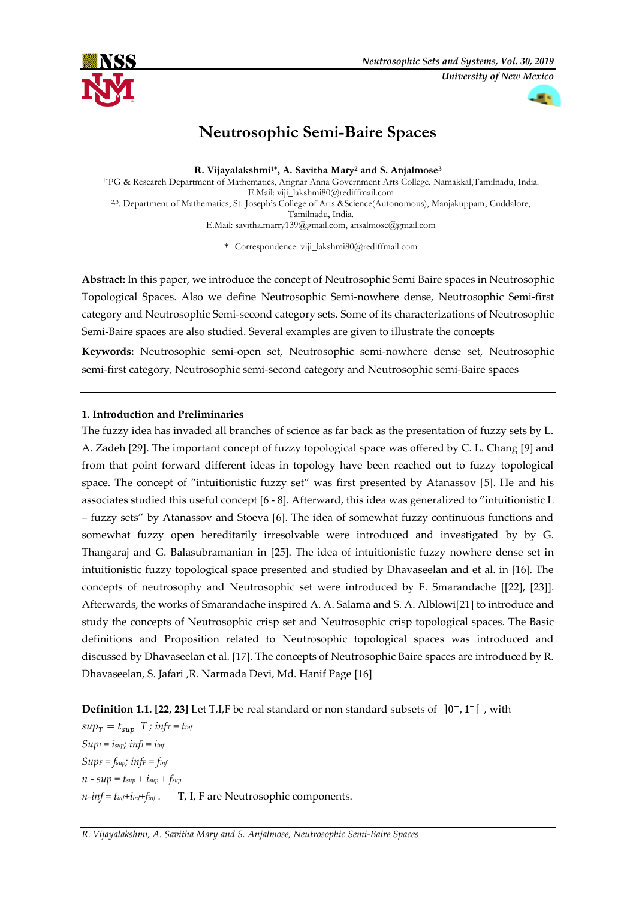

# **Neutrosophic Semi-Baire Spaces**

**R. Vijayalakshmi1\* , A. Savitha Mary<sup>2</sup> and S. Anjalmose<sup>3</sup>** 1\*PG & Research Department of Mathematics, Arignar Anna Government Arts College, Namakkal,Tamilnadu, India. E.Mail[: viji\\_lakshmi80@rediffmail.com](mailto:viji_lakshmi80@rediffmail.com) 2,3. Department of Mathematics, St. Joseph's College of Arts &Science(Autonomous), Manjakuppam, Cuddalore, Tamilnadu, India. E.Mail[: savitha.marry139@gmail.com,](mailto:savitha.marry139@gmail.com) [ansalmose@gmail.com](mailto:ansalmose@gmail.com)

**\*** Correspondence[: viji\\_lakshmi80@rediffmail.com](mailto:viji_lakshmi80@rediffmail.com)

**Abstract:** In this paper, we introduce the concept of Neutrosophic Semi Baire spaces in Neutrosophic Topological Spaces. Also we define Neutrosophic Semi-nowhere dense, Neutrosophic Semi-first category and Neutrosophic Semi-second category sets. Some of its characterizations of Neutrosophic Semi-Baire spaces are also studied. Several examples are given to illustrate the concepts

**Keywords:** Neutrosophic semi-open set, Neutrosophic semi-nowhere dense set, Neutrosophic semi-first category, Neutrosophic semi-second category and Neutrosophic semi-Baire spaces

# **1. Introduction and Preliminaries**

The fuzzy idea has invaded all branches of science as far back as the presentation of fuzzy sets by L. A. Zadeh [29]. The important concept of fuzzy topological space was offered by C. L. Chang [9] and from that point forward different ideas in topology have been reached out to fuzzy topological space. The concept of "intuitionistic fuzzy set" was first presented by Atanassov [5]. He and his associates studied this useful concept [6 - 8]. Afterward, this idea was generalized to "intuitionistic L – fuzzy sets" by Atanassov and Stoeva [6]. The idea of somewhat fuzzy continuous functions and somewhat fuzzy open hereditarily irresolvable were introduced and investigated by by G. Thangaraj and G. Balasubramanian in [25]. The idea of intuitionistic fuzzy nowhere dense set in intuitionistic fuzzy topological space presented and studied by Dhavaseelan and et al. in [16]. The concepts of neutrosophy and Neutrosophic set were introduced by F. Smarandache [[22], [23]]. Afterwards, the works of Smarandache inspired A. A. Salama and S. A. Alblowi[21] to introduce and study the concepts of Neutrosophic crisp set and Neutrosophic crisp topological spaces. The Basic definitions and Proposition related to Neutrosophic topological spaces was introduced and discussed by Dhavaseelan et al. [17]. The concepts of Neutrosophic Baire spaces are introduced by R. Dhavaseelan, S. Jafari ,R. Narmada Devi, Md. Hanif Page [16]

**Definition 1.1. [22, 23]** Let T,I,F be real standard or non standard subsets of ]0<sup>-</sup>, 1<sup>+</sup>[, with

 $sup_T = t_{sup}$  *T ; infr* = *t*<sub>*inf*</sub>  $SupI = i_{sup}$ *; inf<sub>I</sub>* =  $i_{inf}$  $SupF = f_{sup}$ *;*  $infF = f_{inf}$  $n - \sup = t_{\sup} + i_{\sup} + f_{\sup}$ *n-inf = tinf+iinf+finf .* T, I, F are Neutrosophic components.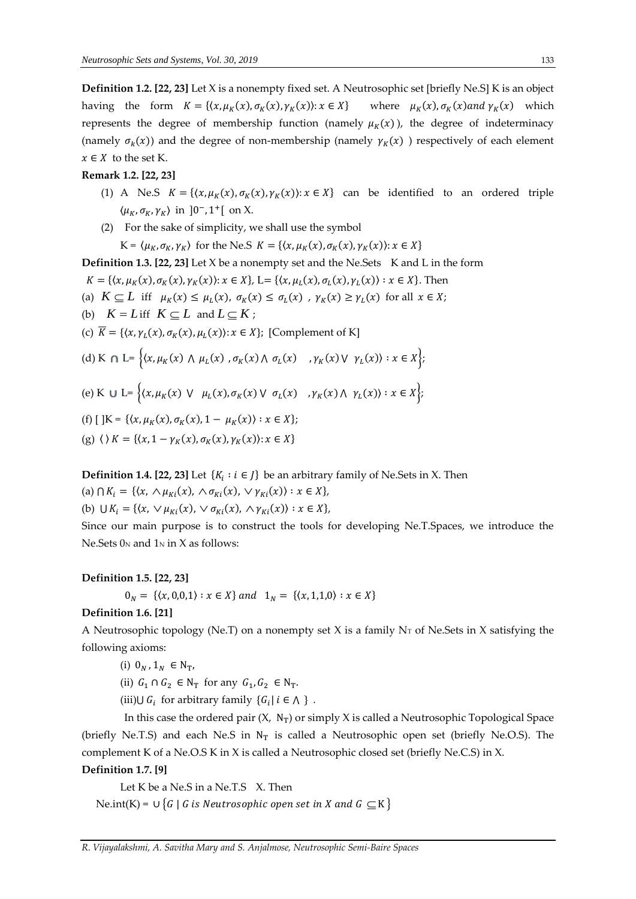**Definition 1.2. [22, 23]** Let X is a nonempty fixed set. A Neutrosophic set [briefly Ne.S] K is an object having the form  $K = \{(x, \mu_K(x), \sigma_K(x), \gamma_K(x)) : x \in X\}$  where  $\mu_K(x), \sigma_K(x)$  and  $\gamma_K(x)$  which represents the degree of membership function (namely  $\mu_K(x)$ ), the degree of indeterminacy (namely  $\sigma_k(x)$ ) and the degree of non-membership (namely  $\gamma_K(x)$ ) respectively of each element  $x \in X$  to the set K.

#### **Remark 1.2. [22, 23]**

- (1) A Ne.S  $K = \{(x, \mu_K(x), \sigma_K(x), \gamma_K(x)) : x \in X\}$  can be identified to an ordered triple  $\langle \mu_K, \sigma_K, \gamma_K \rangle$  in ]0<sup>-</sup>, 1<sup>+</sup>[ on X.
- (2) For the sake of simplicity, we shall use the symbol

 $K = \langle \mu_K, \sigma_K, \gamma_K \rangle$  for the Ne.S  $K = \{ \langle x, \mu_K(x), \sigma_K(x), \gamma_K(x) \rangle : x \in X \}$ 

**Definition 1.3. [22, 23]** Let X be a nonempty set and the Ne.Sets K and L in the form

 $K = \{ (x, \mu_K(x), \sigma_K(x), \gamma_K(x)) : x \in X \}, L = \{ (x, \mu_L(x), \sigma_L(x), \gamma_L(x)) : x \in X \}.$  Then

(a)  $K \subseteq L$  iff  $\mu_K(x) \le \mu_L(x)$ ,  $\sigma_K(x) \le \sigma_L(x)$ ,  $\gamma_K(x) \ge \gamma_L(x)$  for all  $x \in X$ ;

(b)  $K = L$  iff  $K \subseteq L$  and  $L \subseteq K$ ;

(c)  $\overline{K} = \{(x, \gamma_L(x), \sigma_K(x), \mu_L(x)) : x \in X\}$ ; [Complement of K]

(d) K 
$$
\cap
$$
 L= $\{(x, \mu_K(x) \land \mu_L(x), \sigma_K(x) \land \sigma_L(x), \gamma_K(x) \lor \gamma_L(x)) : x \in X\};$   
\n(e) K  $\cup$  L= $\{(x, \mu_K(x) \lor \mu_L(x), \sigma_K(x) \lor \sigma_L(x), \gamma_K(x) \land \gamma_L(x)) : x \in X\};$   
\n(f) [JK =  $\{(x, \mu_K(x), \sigma_K(x), 1 - \mu_K(x)) : x \in X\};$   
\n(g)  $\langle$   $\rangle$  K =  $\{(x, 1 - \gamma_K(x), \sigma_K(x), \gamma_K(x)) : x \in X\}$ 

**Definition 1.4. [22, 23]** Let  $\{K_i : i \in J\}$  be an arbitrary family of Ne.Sets in X. Then

(a)  $\bigcap K_i = \{ (x, \wedge \mu_{Ki}(x), \wedge \sigma_{Ki}(x), \vee \gamma_{Ki}(x)) : x \in X \},\$ (b)  $\bigcup K_i = \{ (x, \vee \mu_{Ki}(x), \vee \sigma_{Ki}(x), \wedge \gamma_{Ki}(x)) : x \in X \},\$ 

Since our main purpose is to construct the tools for developing Ne.T.Spaces, we introduce the Ne. Sets  $0_N$  and  $1_N$  in X as follows:

#### **Definition 1.5. [22, 23]**

 $0_N = \{(x, 0, 0, 1) : x \in X\}$  and  $1_N = \{(x, 1, 1, 0) : x \in X\}$ 

### **Definition 1.6. [21]**

A Neutrosophic topology (Ne.T) on a nonempty set X is a family  $N_T$  of Ne.Sets in X satisfying the following axioms:

$$
\text{(i)}~ 0_N\,, 1_N~\in\mathcal{N}_\text{T},
$$

(ii)  $G_1 \cap G_2 \in N_T$  for any  $G_1, G_2 \in N_T$ .

(iii)∪  $G_i$  for arbitrary family  $\{G_i | i \in \Lambda\}$ .

In this case the ordered pair  $(X, N_T)$  or simply X is called a Neutrosophic Topological Space (briefly Ne.T.S) and each Ne.S in  $N_T$  is called a Neutrosophic open set (briefly Ne.O.S). The complement K of a Ne.O.S K in X is called a Neutrosophic closed set (briefly Ne.C.S) in X.

#### **Definition 1.7. [9]**

Let K be a Ne.S in a Ne.T.S  $X$ . Then

Ne.int(K) = ∪ {G | G is Neutrosophic open set in X and G  $\subseteq$  K }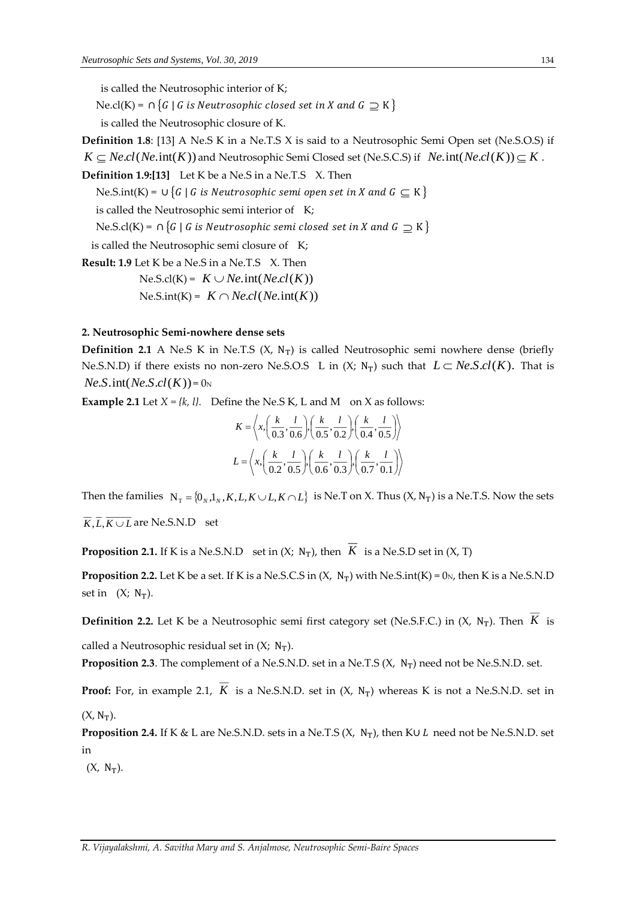is called the Neutrosophic interior of K;

Ne.cl(K) = ∩ {G | G is Neutrosophic closed set in X and G  $\supseteq$  K }

is called the Neutrosophic closure of K.

**Definition 1.8**: [13] A Ne.S K in a Ne.T.S X is said to a Neutrosophic Semi Open set (Ne.S.O.S) if

 $K\subseteq Necl(Ne.\text{int}(K))$  and Neutrosophic Semi Closed set (Ne.S.C.S) if  $Ne.\text{int}(Necl(K))\!\subseteq\!K$  .

**Definition 1.9:[13]** Let K be a Ne.S in a Ne.T.S X. Then

Ne.S.int(K) = ∪ {G | G is Neutrosophic semi open set in X and G  $\subseteq$  K }

is called the Neutrosophic semi interior of K;

Ne.S.cl(K) = ∩ {G | G is Neutrosophic semi closed set in X and G  $\supseteq$  K }

is called the Neutrosophic semi closure of K;

**Result: 1.9** Let K be a Ne.S in a Ne.T.S X. Then

 $N$ e.S.cl(*K*) =  $K \cup Ne$ .int(*Ne.cl*(*K*))

 $N$ e.S.int(*K*) =  $K \cap Necl(Ne.int(K))$ 

## **2. Neutrosophic Semi-nowhere dense sets**

**Definition 2.1** A Ne.S K in Ne.T.S  $(X, N_T)$  is called Neutrosophic semi nowhere dense (briefly Ne.S.N.D) if there exists no non-zero Ne.S.O.S L in  $(X; N_T)$  such that  $L \subset Ne.S.cl(K)$ . That is  $Ne.S.$  int(*Ne.S.cl*(*K*)) =  $0<sub>N</sub>$ 

**Example 2.1** Let  $X = \{k, l\}$ . Define the Ne.S K, L and M on X as follows:

$$
K = \left\langle x, \left( \frac{k}{0.3}, \frac{l}{0.6} \right), \left( \frac{k}{0.5}, \frac{l}{0.2} \right), \left( \frac{k}{0.4}, \frac{l}{0.5} \right) \right\rangle
$$
  

$$
L = \left\langle x, \left( \frac{k}{0.2}, \frac{l}{0.5} \right), \left( \frac{k}{0.6}, \frac{l}{0.3} \right), \left( \frac{k}{0.7}, \frac{l}{0.1} \right) \right\rangle
$$

Then the families  $N_T = \{0_N, 1_N, K, L, K \cup L, K \cap L\}$  is Ne.T on X. Thus  $(X, N_T)$  is a Ne.T.S. Now the sets

 $K, L, K \cup L$  are Ne.S.N.D set

**Proposition 2.1.** If K is a Ne.S.N.D set in  $(X; N_T)$ , then  $K$  is a Ne.S.D set in  $(X, T)$ 

**Proposition 2.2.** Let K be a set. If K is a Ne.S.C.S in  $(X, N_T)$  with Ne.S.int $(K) = 0_N$ , then K is a Ne.S.N.D set in  $(X; N_T)$ .

**Definition 2.2.** Let K be a Neutrosophic semi first category set (Ne.S.F.C.) in  $(X, N_T)$ . Then K is

called a Neutrosophic residual set in  $(X; N_T)$ .

**Proposition 2.3**. The complement of a Ne.S.N.D. set in a Ne.T.S  $(X, N_T)$  need not be Ne.S.N.D. set.

**Proof:** For, in example 2.1,  $K$  is a Ne.S.N.D. set in  $(X, N_T)$  whereas K is not a Ne.S.N.D. set in  $(X, N_T)$ .

**Proposition 2.4.** If K & L are Ne.S.N.D. sets in a Ne.T.S (X, N<sub>T</sub>), then K∪ *L* need not be Ne.S.N.D. set in

 $(X, N_T)$ .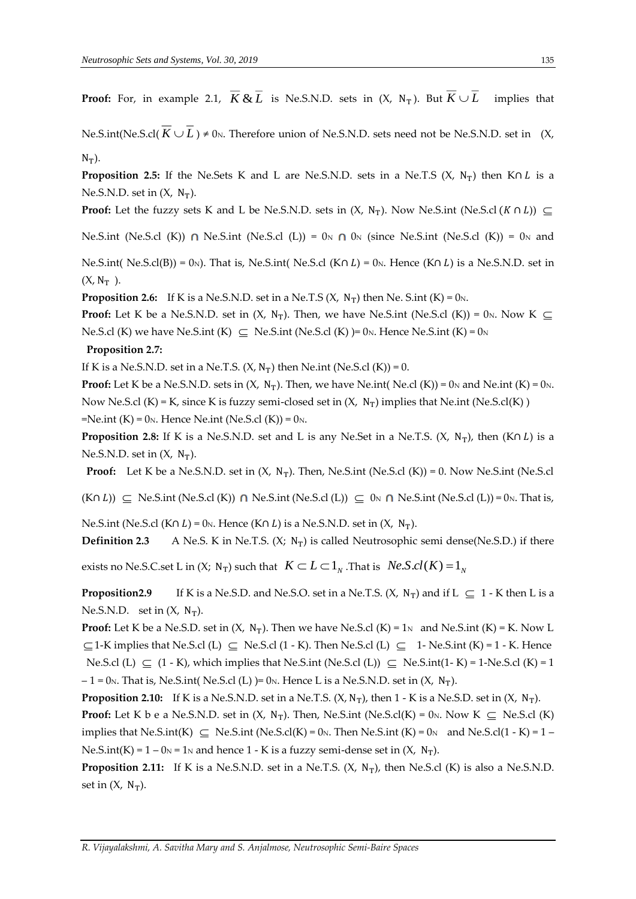**Proof:** For, in example 2.1,  $K \& L$  is Ne.S.N.D. sets in (X, N<sub>T</sub>). But *k* implies that

 $N$ e.S.int(Ne.S.cl( $K \cup L$ )  $\neq 0$ <sub>N</sub>. Therefore union of Ne.S.N.D. sets need not be Ne.S.N.D. set in (X,  $N_T$ ).

**Proposition 2.5:** If the Ne.Sets K and L are Ne.S.N.D. sets in a Ne.T.S (X, N<sub>T</sub>) then K∩ L is a Ne.S.N.D. set in  $(X, N_T)$ .

**Proof:** Let the fuzzy sets K and L be Ne.S.N.D. sets in  $(X, N_T)$ . Now Ne.S.int (Ne.S.cl  $(K \cap L)$ ) ⊆

Ne.S.int (Ne.S.cl (K))  $\cap$  Ne.S.int (Ne.S.cl (L)) = 0<sub>N</sub>  $\cap$  0<sub>N</sub> (since Ne.S.int (Ne.S.cl (K)) = 0<sub>N</sub> and

Ne.S.int( Ne.S.cl(B)) = 0<sub>N</sub>). That is, Ne.S.int( Ne.S.cl (K∩ L) = 0<sub>N</sub>. Hence (K∩ L) is a Ne.S.N.D. set in  $(X, N_T)$ .

**Proposition 2.6:** If K is a Ne.S.N.D. set in a Ne.T.S  $(X, N_T)$  then Ne. S.int  $(K) = 0_N$ .

**Proof:** Let K be a Ne.S.N.D. set in (X, N<sub>T</sub>). Then, we have Ne.S.int (Ne.S.cl (K)) = 0<sub>N</sub>. Now K  $\subseteq$ Ne.S.cl (K) we have Ne.S.int (K)  $\subseteq$  Ne.S.int (Ne.S.cl (K)) = 0<sub>N</sub>. Hence Ne.S.int (K) = 0<sub>N</sub>

#### **Proposition 2.7:**

If K is a Ne.S.N.D. set in a Ne.T.S.  $(X, N_T)$  then Ne.int (Ne.S.cl  $(K)$ ) = 0.

**Proof:** Let K be a Ne.S.N.D. sets in  $(X, N_T)$ . Then, we have Ne.int (Ne.cl  $(K)$ ) = 0<sub>N</sub> and Ne.int  $(K)$  = 0<sub>N</sub>. Now Ne.S.cl (K) = K, since K is fuzzy semi-closed set in  $(X, N_T)$  implies that Ne.int (Ne.S.cl(K))  $=$ Ne.int (K) = 0<sub>N</sub>. Hence Ne.int (Ne.S.cl (K)) = 0<sub>N</sub>.

**Proposition 2.8:** If K is a Ne.S.N.D. set and L is any Ne.Set in a Ne.T.S.  $(X, N_T)$ , then  $(K \cap L)$  is a Ne.S.N.D. set in  $(X, N_T)$ .

**Proof:** Let K be a Ne.S.N.D. set in  $(X, N_T)$ . Then, Ne.S.int  $(Ne.S.cI(K)) = 0$ . Now Ne.S.int  $(Ne.S.cI(K))$ 

 $(K \cap L)$ )  $\subseteq$  Ne.S.int (Ne.S.cl (K))  $\cap$  Ne.S.int (Ne.S.cl (L))  $\subseteq$  0<sub>N</sub>  $\cap$  Ne.S.int (Ne.S.cl (L)) = 0<sub>N</sub>. That is,

Ne.S.int (Ne.S.cl (K∩ L) = 0<sub>N</sub>. Hence (K∩ L) is a Ne.S.N.D. set in (X, N<sub>T</sub>).

**Definition 2.3** A Ne.S. K in Ne.T.S.  $(X; N_T)$  is called Neutrosophic semi dense(Ne.S.D.) if there

exists no Ne.S.C.set L in (X;  $\, \mathrm{N_T})$  such that  $\, \, K \subset L \subset 1_{_N}$  .That is  $\, \, Ne.S.cl(K)$   $=$   $\, \mathrm{l}_N$ 

**Proposition2.9** If K is a Ne.S.D. and Ne.S.O. set in a Ne.T.S.  $(X, N_T)$  and if L  $\subseteq 1$  - K then L is a Ne.S.N.D. set in  $(X, N_T)$ .

**Proof:** Let K be a Ne.S.D. set in  $(X, N_T)$ . Then we have Ne.S.cl  $(K) = 1_N$  and Ne.S.int  $(K) = K$ . Now L  $\subseteq$  1-K implies that Ne.S.cl (L)  $\subseteq$  Ne.S.cl (1 - K). Then Ne.S.cl (L)  $\subseteq$  1- Ne.S.int (K) = 1 - K. Hence Ne.S.cl (L)  $\subseteq$  (1 - K), which implies that Ne.S.int (Ne.S.cl (L))  $\subseteq$  Ne.S.int(1- K) = 1-Ne.S.cl (K) = 1  $-1 = 0$ N. That is, Ne.S.int( Ne.S.cl (L) )= 0N. Hence L is a Ne.S.N.D. set in  $(X, N_T)$ .

**Proposition 2.10:** If K is a Ne.S.N.D. set in a Ne.T.S.  $(X, N_T)$ , then 1 - K is a Ne.S.D. set in  $(X, N_T)$ . **Proof:** Let K b e a Ne.S.N.D. set in  $(X, N_T)$ . Then, Ne.S.int (Ne.S.cl(K) = 0<sub>N</sub>. Now K  $\subseteq$  Ne.S.cl (K) implies that Ne.S.int(K)  $\subseteq$  Ne.S.int (Ne.S.cl(K) = 0<sub>N</sub>. Then Ne.S.int (K) = 0<sub>N</sub> and Ne.S.cl(1 - K) = 1 – Ne.S.int(K) =  $1 - 0<sub>N</sub>$  = 1<sub>N</sub> and hence 1 - K is a fuzzy semi-dense set in (X, N<sub>T</sub>).

**Proposition 2.11:** If K is a Ne.S.N.D. set in a Ne.T.S.  $(X, N_T)$ , then Ne.S.cl  $(K)$  is also a Ne.S.N.D. set in  $(X, N_T)$ .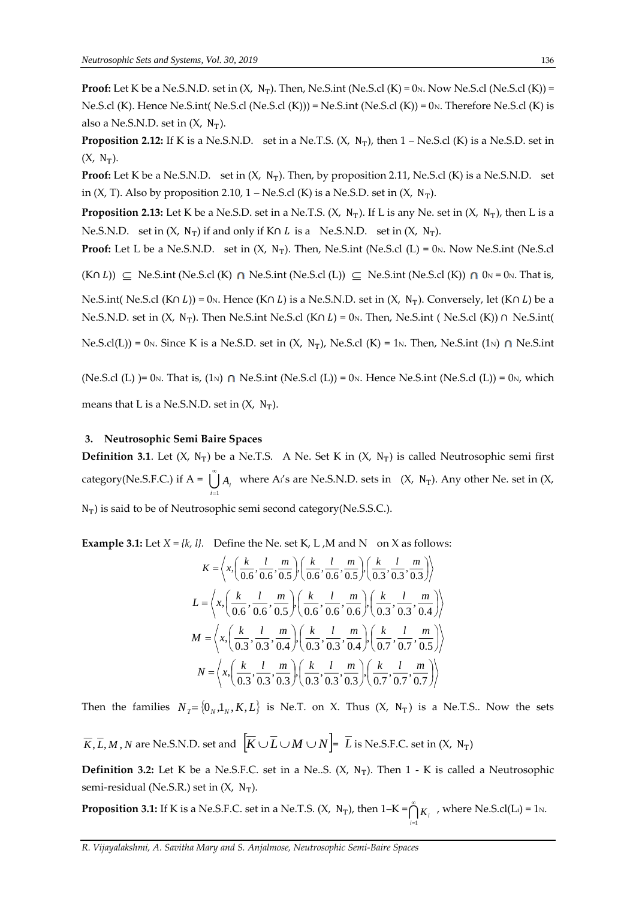**Proof:** Let K be a Ne.S.N.D. set in  $(X, N_T)$ . Then, Ne.S.int (Ne.S.cl  $(K) = 0_N$ . Now Ne.S.cl  $(Ne.S.d(K)) =$ Ne.S.cl (K). Hence Ne.S.int (Ne.S.cl (Ne.S.cl (K))) = Ne.S.int (Ne.S.cl (K)) = 0 $N$ . Therefore Ne.S.cl (K) is also a Ne.S.N.D. set in  $(X, N_T)$ .

**Proposition 2.12:** If K is a Ne.S.N.D. set in a Ne.T.S.  $(X, N_T)$ , then  $1 - Ne.S.C$  (K) is a Ne.S.D. set in  $(X, N_T)$ .

**Proof:** Let K be a Ne.S.N.D. set in  $(X, N_T)$ . Then, by proposition 2.11, Ne.S.cl  $(K)$  is a Ne.S.N.D. set in  $(X, T)$ . Also by proposition 2.10, 1 – Ne.S.cl  $(K)$  is a Ne.S.D. set in  $(X, N_T)$ .

**Proposition 2.13:** Let K be a Ne.S.D. set in a Ne.T.S.  $(X, N_T)$ . If L is any Ne. set in  $(X, N_T)$ , then L is a Ne.S.N.D. set in  $(X, N_T)$  if and only if K∩ *L* is a Ne.S.N.D. set in  $(X, N_T)$ .

**Proof:** Let L be a Ne.S.N.D. set in  $(X, N_T)$ . Then, Ne.S.int (Ne.S.cl  $(L) = 0_N$ . Now Ne.S.int (Ne.S.cl

 $(K \cap L)$ )  $\subseteq$  Ne.S.int (Ne.S.cl (K)  $\cap$  Ne.S.int (Ne.S.cl (L))  $\subseteq$  Ne.S.int (Ne.S.cl (K))  $\cap$  0<sub>N</sub> = 0<sub>N</sub>. That is,

Ne.S.int( Ne.S.cl (K∩ L)) = 0<sub>N</sub>. Hence (K∩ L) is a Ne.S.N.D. set in (X, N<sub>T</sub>). Conversely, let (K∩ L) be a Ne.S.N.D. set in  $(X, N_T)$ . Then Ne.S.int Ne.S.cl  $(K \cap L) = 0_N$ . Then, Ne.S.int ( Ne.S.cl  $(K)$ ) ∩ Ne.S.int (

Ne.S.cl(L)) = 0<sub>N</sub>. Since K is a Ne.S.D. set in  $(X, N_T)$ , Ne.S.cl  $(K) = 1_N$ . Then, Ne.S.int  $(1_N) \cap N$ e.S.int

(Ne.S.cl (L) )= 0<sub>N</sub>. That is, (1<sub>N</sub>)  $\cap$  Ne.S.int (Ne.S.cl (L)) = 0<sub>N</sub>. Hence Ne.S.int (Ne.S.cl (L)) = 0<sub>N</sub>, which means that L is a Ne.S.N.D. set in  $(X, N_T)$ .

#### **3. Neutrosophic Semi Baire Spaces**

**Definition 3.1.** Let  $(X, N_T)$  be a Ne.T.S. A Ne. Set K in  $(X, N_T)$  is called Neutrosophic semi first category(Ne.S.F.C.) if  $A = \bigcup_{n=1}^{\infty}$  $\bigcup_{i=1} A_i$  where A<sub>i</sub>'s are Ne.S.N.D. sets in  $(X, N_T)$ . Any other Ne. set in  $(X, K_T)$ 

 $N_T$ ) is said to be of Neutrosophic semi second category(Ne.S.S.C.).

**Example 3.1:** Let  $X = \{k, l\}$ . Define the Ne. set K, L, M and N on X as follows:

$$
K = \left\langle x, \left( \frac{k}{0.6}, \frac{l}{0.6}, \frac{m}{0.5} \right), \left( \frac{k}{0.6}, \frac{l}{0.6}, \frac{m}{0.5} \right), \left( \frac{k}{0.3}, \frac{l}{0.3}, \frac{m}{0.3} \right) \right\rangle
$$
  
\n
$$
L = \left\langle x, \left( \frac{k}{0.6}, \frac{l}{0.6}, \frac{m}{0.5} \right), \left( \frac{k}{0.6}, \frac{l}{0.6}, \frac{m}{0.6} \right), \left( \frac{k}{0.3}, \frac{l}{0.3}, \frac{m}{0.4} \right) \right\rangle
$$
  
\n
$$
M = \left\langle x, \left( \frac{k}{0.3}, \frac{l}{0.3}, \frac{m}{0.4} \right), \left( \frac{k}{0.3}, \frac{l}{0.3}, \frac{m}{0.4} \right), \left( \frac{k}{0.7}, \frac{l}{0.7}, \frac{m}{0.5} \right) \right\rangle
$$
  
\n
$$
N = \left\langle x, \left( \frac{k}{0.3}, \frac{l}{0.3}, \frac{m}{0.3} \right), \left( \frac{k}{0.3}, \frac{l}{0.3}, \frac{m}{0.3} \right), \left( \frac{k}{0.7}, \frac{l}{0.7}, \frac{m}{0.7} \right) \right\rangle
$$

Then the families  $N_T = \{0_N, 1_N, K, L\}$  is Ne.T. on X. Thus  $(X, N_T)$  is a Ne.T.S.. Now the sets

 $\overline{K},\overline{L},M,N$  are Ne.S.N.D. set and  $\left[\overline{K}\cup \overline{L} \cup M \cup N\right] = \overline{L}$  is Ne.S.F.C. set in (X, N<sub>T</sub>)

**Definition 3.2:** Let K be a Ne.S.F.C. set in a Ne..S.  $(X, N_T)$ . Then 1 - K is called a Neutrosophic semi-residual (Ne.S.R.) set in  $(X, N_T)$ .

**Proposition 3.1:** If K is a Ne.S.F.C. set in a Ne.T.S.  $(X, N_T)$ , then  $1-K = \bigcap_{i=1}^{n}$  $\bigcap_{i=1}^k K_i$ , where Ne.S.cl(L<sub>i</sub>) = 1<sub>N</sub>.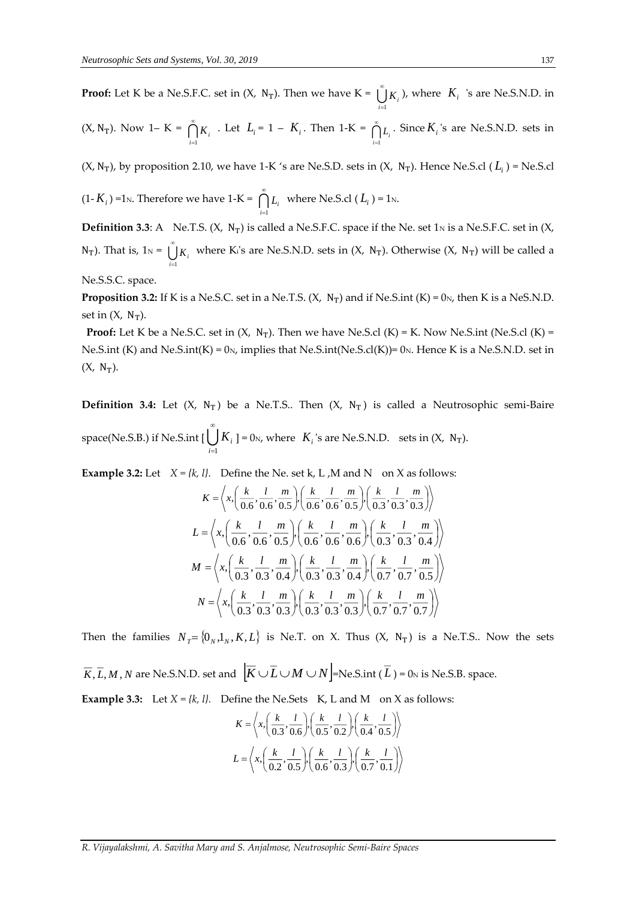**Proof:** Let K be a Ne.S.F.C. set in  $(X, N_T)$ . Then we have  $K = \bigcup_{n=1}^{\infty}$  $\bigcup_{i=1}$  *K*<sub>*i*</sub>  $\bigcup$  *K*<sub>*i*</sub>  $\bigcup$  *K*<sub>*i*</sub>  $\bigcup$  *K*<sub>*i*</sub>  $\bigcup$  *K*<sub>*i*</sub>  $\bigcup$  *K*<sub>*i*</sub>  $\bigcup$  *K*<sub>*i*</sub>  $\bigcup$  *K*<sub>*i*</sub>  $\bigcup$  *K*<sub>*i*</sub>  $\bigcup$  *K*<sub>*i*</sub>  $\bigcup$  *K*<sub>*i*</sub>  $\bigcup$  *K*<sub>*i*</sub>  $\bigcup$  *K*<sub>*i*</sub>  $\bigcup$  *K*<sub>*i*</sub>  $\bigcup$ 

(X, N<sub>T</sub>). Now 1– K = 
$$
\bigcap_{i=1}^{\infty} K_i
$$
. Let  $L_i = 1 - K_i$ . Then 1-K =  $\bigcap_{i=1}^{\infty} L_i$ . Since  $K_i$ 's are Ne.S.N.D. sets in

(X, N<sub>T</sub>), by proposition 2.10, we have 1-K 's are Ne.S.D. sets in (X, N<sub>T</sub>). Hence Ne.S.cl ( $L<sub>i</sub>$ ) = Ne.S.cl

$$
(1 - K_i)
$$
 =1<sub>N</sub>. Therefore we have 1-K =  $\bigcap_{i=1}^{\infty} L_i$  where Ne.S. $cl$  ( $L_i$ ) = 1<sub>N</sub>.

**Definition 3.3**: A Ne.T.S.  $(X, N_T)$  is called a Ne.S.F.C. space if the Ne. set 1<sub>N</sub> is a Ne.S.F.C. set in  $(X, N_T)$  $N_T$ ). That is,  $1_N = \bigcup_{n=1}^{\infty}$ .  $\bigcup_{i=1}$  *K<sub>i</sub>* where K<sub>i</sub>'s are Ne.S.N.D. sets in  $(X, N_T)$ . Otherwise  $(X, N_T)$  will be called a

Ne.S.S.C. space.

**Proposition 3.2:** If K is a Ne.S.C. set in a Ne.T.S.  $(X, N_T)$  and if Ne.S.int  $(K) = 0_N$ , then K is a NeS.N.D. set in  $(X, N_T)$ .

**Proof:** Let K be a Ne.S.C. set in  $(X, N_T)$ . Then we have Ne.S.cl  $(K) = K$ . Now Ne.S.int (Ne.S.cl  $(K) =$ Ne.S.int (K) and Ne.S.int (K) =  $0<sub>N</sub>$ , implies that Ne.S.int (Ne.S.cl(K))=  $0<sub>N</sub>$ . Hence K is a Ne.S.N.D. set in  $(X, N_T)$ .

**Definition 3.4:** Let  $(X, N_T)$  be a Ne.T.S.. Then  $(X, N_T)$  is called a Neutrosophic semi-Baire space(Ne.S.B.) if Ne.S.int [ $\bigcup^{\infty}$ *i*=1  $K_i$  ] = 0<sub>N</sub>, where  $K_i$  's are Ne.S.N.D. sets in  $(X, N_T)$ .

**Example 3.2:** Let  $X = \{k, l\}$ . Define the Ne. set k, L, M and N on X as follows:

$$
K = \left\langle x, \left( \frac{k}{0.6}, \frac{l}{0.6}, \frac{m}{0.5} \right), \left( \frac{k}{0.6}, \frac{l}{0.6}, \frac{m}{0.5} \right), \left( \frac{k}{0.3}, \frac{l}{0.3}, \frac{m}{0.3} \right) \right\rangle
$$
  
\n
$$
L = \left\langle x, \left( \frac{k}{0.6}, \frac{l}{0.6}, \frac{m}{0.5} \right), \left( \frac{k}{0.6}, \frac{l}{0.6}, \frac{m}{0.6} \right), \left( \frac{k}{0.3}, \frac{l}{0.3}, \frac{m}{0.4} \right) \right\rangle
$$
  
\n
$$
M = \left\langle x, \left( \frac{k}{0.3}, \frac{l}{0.3}, \frac{m}{0.4} \right), \left( \frac{k}{0.3}, \frac{l}{0.3}, \frac{m}{0.4} \right), \left( \frac{k}{0.7}, \frac{l}{0.7}, \frac{m}{0.5} \right) \right\rangle
$$
  
\n
$$
N = \left\langle x, \left( \frac{k}{0.3}, \frac{l}{0.3}, \frac{m}{0.3}, \left( \frac{k}{0.3}, \frac{l}{0.3}, \frac{m}{0.3}, \frac{l}{0.3}, \frac{m}{0.7} \right), \left( \frac{k}{0.7}, \frac{l}{0.7}, \frac{m}{0.7} \right) \right\rangle
$$

Then the families  $N_T = \{0_N, 1_N, K, L\}$  is Ne.T. on X. Thus  $(X, N_T)$  is a Ne.T.S.. Now the sets

 $\overline{K}$  ,  $\overline{L}$  ,  $M$  ,  $N$  are Ne.S.N.D. set and  $\left[\overline{K}\cup \overline{L}\cup M\cup N\right]$ =Ne.S.int (  $\overline{L}$  ) = 0<sub>N</sub> is Ne.S.B. space.

**Example 3.3:** Let  $X = \{k, l\}$ . Define the Ne.Sets K, L and M on X as follows:

$$
K = \left\langle x, \left( \frac{k}{0.3}, \frac{l}{0.6} \right), \left( \frac{k}{0.5}, \frac{l}{0.2} \right), \left( \frac{k}{0.4}, \frac{l}{0.5} \right) \right\rangle
$$
  

$$
L = \left\langle x, \left( \frac{k}{0.2}, \frac{l}{0.5} \right), \left( \frac{k}{0.6}, \frac{l}{0.3} \right), \left( \frac{k}{0.7}, \frac{l}{0.1} \right) \right\rangle
$$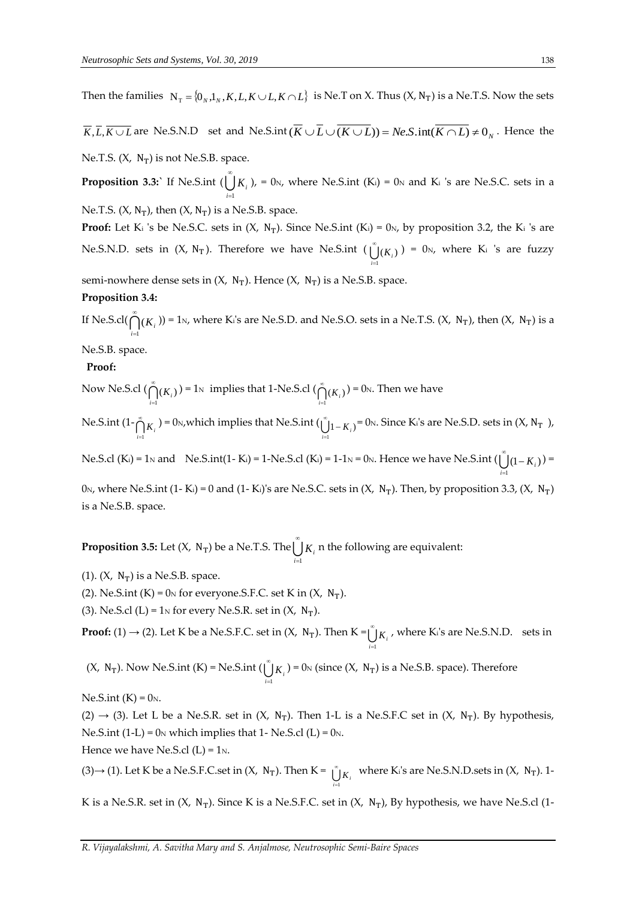Then the families  $N_T = \{0_N, 1_N, K, L, K \cup L, K \cap L\}$  is Ne.T on X. Thus  $(X, N_T)$  is a Ne.T.S. Now the sets

 $K, L, K \cup L$  are Ne.S.N.D set and Ne.S.int( $K \cup L \cup (K \cup L)$ ) =  $Ne.S.\text{int}(K \cap L) \neq 0_N$ . Hence the

Ne.T.S.  $(X, N_T)$  is not Ne.S.B. space.

**Proposition 3.3:`** If Ne.S.int (  $\bigcup_{i=1}^k K_i$  ), = 0<sub>N</sub>, where Ne.S.int (K<sub>i</sub>) = 0<sub>N</sub> and K<sub>i</sub> 's are Ne.S.C. sets in a

Ne.T.S.  $(X, N_T)$ , then  $(X, N_T)$  is a Ne.S.B. space.

**Proof:** Let K<sub>i</sub> 's be Ne.S.C. sets in  $(X, N_T)$ . Since Ne.S.int  $(K_i) = 0_N$ , by proposition 3.2, the K<sub>i</sub> 's are Ne.S.N.D. sets in  $(X, N_T)$ . Therefore we have Ne.S.int  $\left(\bigcup_{i=1}^{\infty} K_i\right) = 0_N$ , where K<sub>i</sub> 's are fuzzy  $=1$ *i*

semi-nowhere dense sets in  $(X, N_T)$ . Hence  $(X, N_T)$  is a Ne.S.B. space.

#### **Proposition 3.4:**

If Ne.S.cl( $\bigcap_{i=1}^{\infty} (K_i)$ ) = 1<sub>N</sub>, where K<sub>i</sub>'s are Ne.S.D. and Ne.S.O. sets in a Ne.T.S. (X, N<sub>T</sub>), then (X, N<sub>T</sub>) is a  $=1$ 

# Ne.S.B. space.

# **Proof:**

Now Ne.S.cl  $(\bigcap_{i=1}^{\infty} (K_i))$  $\bigcap_{i=1}^{\infty} (K_i)$ ) = 1<sub>N</sub> implies that 1-Ne.S.cl ( $\bigcap_{i=1}^{\infty} (K_i)$  $\bigcap_{i=1}^{\infty}(K_i)$  = 0<sub>N</sub>. Then we have

Ne.S.int  $(1-\overset{\circ}{\bigcap})$  $\bigcap_{i=1}^{\infty} K_i$ ) = 0<sub>N</sub>, which implies that Ne.S.int ( $\bigcup_{i=1}^{\infty} 1 - K_i$ )  $\int_{i=1}^{\infty}$   $1 - K_i$ ) = 0<sub>N</sub>. Since K<sub>i</sub>'s are Ne.S.D. sets in  $(X, N_T)$ ,

Ne.S.cl (K<sub>i</sub>) = 1<sub>N</sub> and Ne.S.int(1-K<sub>i</sub>) = 1-Ne.S.cl (K<sub>i</sub>) = 1-1<sub>N</sub> = 0<sub>N</sub>. Hence we have Ne.S.int ( $\bigcup_{i=1}^{\infty} (1 - K_i)$ ) =

0<sub>N</sub>, where Ne.S.int (1- K<sub>i</sub>) = 0 and (1- K<sub>i</sub>)'s are Ne.S.C. sets in (X, N<sub>T</sub>). Then, by proposition 3.3, (X, N<sub>T</sub>) is a Ne.S.B. space.

**Proposition 3.5:** Let (X,  $N_T$ ) be a Ne.T.S. The  $\bigcup^{\infty}$  $\bigcup_{i=1}^k K_i$  n the following are equivalent:

- (1).  $(X, N_T)$  is a Ne.S.B. space.
- (2). Ne.S.int  $(K) = 0_N$  for everyone.S.F.C. set K in  $(X, N_T)$ .
- (3). Ne.S.cl (L) =  $1<sub>N</sub>$  for every Ne.S.R. set in (X, N<sub>T</sub>).

**Proof:** (1)  $\rightarrow$  (2). Let K be a Ne.S.F.C. set in (X, N<sub>T</sub>). Then K =  $\bigcup_{i=1}^{\infty}$  $\bigcup_{i=1} K_i$ , where K<sub>i</sub>'s are Ne.S.N.D. sets in

 $(X, N_T)$ . Now Ne.S.int  $(K)$  = Ne.S.int  $(\bigcup_{i=1}^{n}$  $\bigcup_{i=1} K_i$ ) = 0<sub>N</sub> (since (X, N<sub>T</sub>) is a Ne.S.B. space). Therefore

 $Ne.S.int(K) = 0_N$ .

(2)  $\rightarrow$  (3). Let L be a Ne.S.R. set in (X, N<sub>T</sub>). Then 1-L is a Ne.S.F.C set in (X, N<sub>T</sub>). By hypothesis, Ne.S.int (1-L) =  $0<sub>N</sub>$  which implies that 1- Ne.S.cl (L) =  $0<sub>N</sub>$ . Hence we have Ne.S.cl  $(L) = 1_N$ .

(3)→ (1). Let K be a Ne.S.F.C.set in  $(X, N_T)$ . Then K =  $\bigcup_{i=1}^{\infty} K_i$  where K<sub>i</sub>'s are Ne.S.N.D.sets in  $(X, N_T)$ . 1 $i=1$ 

K is a Ne.S.R. set in  $(X, N_T)$ . Since K is a Ne.S.F.C. set in  $(X, N_T)$ , By hypothesis, we have Ne.S.cl (1-

*i*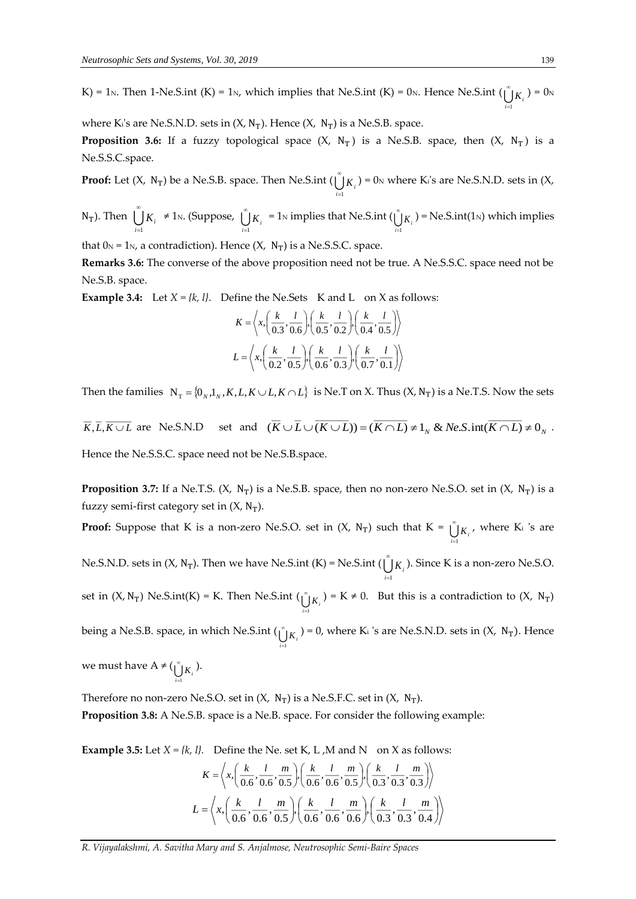K) = 1<sub>N</sub>. Then 1-Ne.S.int (K) = 1<sub>N</sub>, which implies that Ne.S.int (K) = 0<sub>N</sub>. Hence Ne.S.int ( $\bigcup_{i=1}^{\infty} K_i$ ) = 0<sub>N</sub>  $i=1$ 

where K<sub>i</sub>'s are Ne.S.N.D. sets in  $(X, N_T)$ . Hence  $(X, N_T)$  is a Ne.S.B. space.

**Proposition 3.6:** If a fuzzy topological space  $(X, N_T)$  is a Ne.S.B. space, then  $(X, N_T)$  is a Ne.S.S.C.space.

**Proof:** Let  $(X, N_T)$  be a Ne.S.B. space. Then Ne.S.int  $(\bigcup_{i=1}^{n} S_i)^T$  $\bigcup_{i=1} K_i$ ) = 0<sub>N</sub> where K<sub>i</sub>'s are Ne.S.N.D. sets in  $(X,$ 

N<sub>T</sub>). Then  $\bigcup^{\infty}$  $\bigcup_{i=1}^{\infty} K_i$  ≠ 1<sub>N</sub>. (Suppose,  $\bigcup_{i=1}^{\infty}$  $\bigcup_{i=1}^{\infty} K_i$  = 1<sub>N</sub> implies that Ne.S.int ( $\bigcup_{i=1}^{\infty} K_i$  $\bigcup_{i=1}^{n} K_i$  ) = Ne.S.int(1<sub>N</sub>) which implies

that  $0_N = 1_N$ , a contradiction). Hence  $(X, N_T)$  is a Ne.S.S.C. space.

**Remarks 3.6:** The converse of the above proposition need not be true. A Ne.S.S.C. space need not be Ne.S.B. space.

**Example 3.4:** Let  $X = \{k, l\}$ . Define the Ne.Sets K and L on X as follows:

$$
K = \left\langle x, \left( \frac{k}{0.3}, \frac{l}{0.6} \right), \left( \frac{k}{0.5}, \frac{l}{0.2} \right), \left( \frac{k}{0.4}, \frac{l}{0.5} \right) \right\rangle
$$
  

$$
L = \left\langle x, \left( \frac{k}{0.2}, \frac{l}{0.5} \right), \left( \frac{k}{0.6}, \frac{l}{0.3} \right), \left( \frac{k}{0.7}, \frac{l}{0.1} \right) \right\rangle
$$

Then the families  $N_T = \{0_N, 1_N, K, L, K \cup L, K \cap L\}$  is Ne.T on X. Thus  $(X, N_T)$  is a Ne.T.S. Now the sets

 $K, L, K \cup L$  are Ne.S.N.D set and  $(K \cup L \cup (K \cup L)) = (K \cap L) \neq 1_N \&$  *Ne.S.* int $(K \cap L) \neq 0_N$ . Hence the Ne.S.S.C. space need not be Ne.S.B.space.

**Proposition 3.7:** If a Ne.T.S.  $(X, N_T)$  is a Ne.S.B. space, then no non-zero Ne.S.O. set in  $(X, N_T)$  is a fuzzy semi-first category set in  $(X, N_T)$ .

**Proof:** Suppose that K is a non-zero Ne.S.O. set in  $(X, N_T)$  such that  $K = \bigcup_{i=1}^{n}$  $\bigcup_{i=1}^{\infty} K_i$ , where K<sub>i</sub> 's are

Ne.S.N.D. sets in  $(X, N_T)$ . Then we have Ne.S.int  $(K)$  = Ne.S.int  $\bigcup_{i=1}^{\infty} K_i$ . Since K is a non-zero Ne.S.O. *i*=1

set in  $(X, N_T)$  Ne.S.int $(K) = K$ . Then Ne.S.int  $(\bigcup_{i=1}^{\infty} K_i)^{i} = K \neq 0$ . But this is a contradiction to  $(X, N_T)$ *i*=1

being a Ne.S.B. space, in which Ne.S.int ( $\bigcup_{i=1}^{\infty} K_i$  ) = 0, where K<sub>i</sub> 's are Ne.S.N.D. sets in (X, N<sub>T</sub>). Hence  $i=1$ 

we must have  $A \neq (\bigcup_{i=1}^{\infty} K_i)^2$ . *i*=1

Therefore no non-zero Ne.S.O. set in  $(X, N_T)$  is a Ne.S.F.C. set in  $(X, N_T)$ .

**Proposition 3.8:** A Ne.S.B. space is a Ne.B. space. For consider the following example:

**Example 3.5:** Let  $X = \{k, l\}$ . Define the Ne. set K, L, M and N on X as follows:

$$
K = \left\langle x, \left( \frac{k}{0.6}, \frac{l}{0.6}, \frac{m}{0.5} \right), \left( \frac{k}{0.6}, \frac{l}{0.6}, \frac{m}{0.5} \right), \left( \frac{k}{0.3}, \frac{l}{0.3}, \frac{m}{0.3} \right) \right\rangle
$$
  

$$
L = \left\langle x, \left( \frac{k}{0.6}, \frac{l}{0.6}, \frac{m}{0.5} \right), \left( \frac{k}{0.6}, \frac{l}{0.6}, \frac{m}{0.6} \right), \left( \frac{k}{0.3}, \frac{l}{0.3}, \frac{m}{0.4} \right) \right\rangle
$$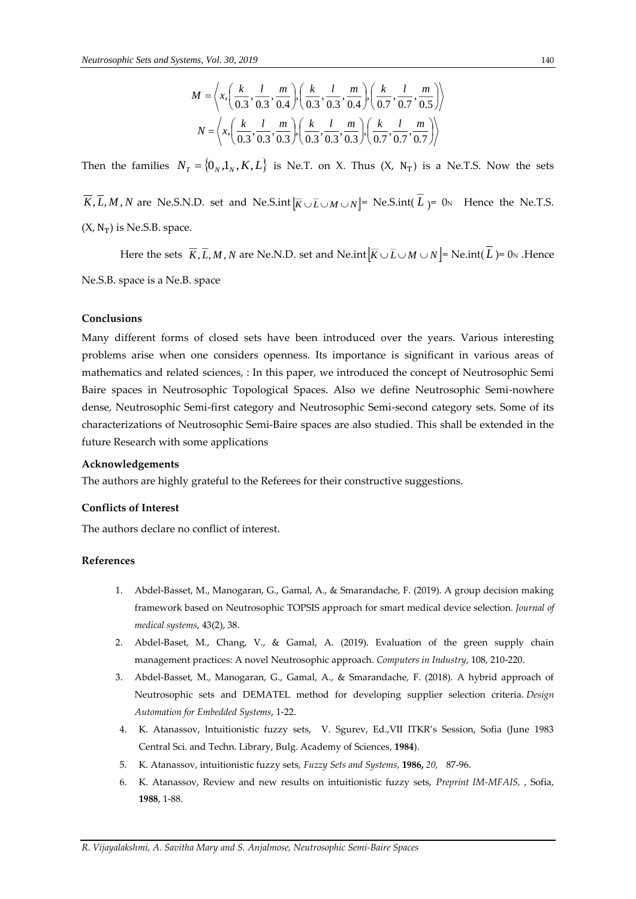$$
M = \left\langle x, \left( \frac{k}{0.3}, \frac{l}{0.3}, \frac{m}{0.4} \right), \left( \frac{k}{0.3}, \frac{l}{0.3}, \frac{m}{0.4} \right), \left( \frac{k}{0.7}, \frac{l}{0.7}, \frac{m}{0.5} \right) \right\rangle
$$
  

$$
N = \left\langle x, \left( \frac{k}{0.3}, \frac{l}{0.3}, \frac{m}{0.3} \right), \left( \frac{k}{0.3}, \frac{l}{0.3}, \frac{m}{0.3} \right), \left( \frac{k}{0.7}, \frac{l}{0.7}, \frac{m}{0.7} \right) \right\rangle
$$

Then the families  $N_T = \{0_N, 1_N, K, L\}$  is Ne.T. on X. Thus  $(X, N_T)$  is a Ne.T.S. Now the sets

*K*, *L*, *M* , *N* are Ne.S.N.D. set and Ne.S.int  $\left[\overline{K} \cup \overline{L} \cup M \cup N\right] =$  Ne.S.int( *L*  $) = 0$ <sub>N</sub> Hence the Ne.T.S.  $(X, N_T)$  is Ne.S.B. space.

Here the sets  $\overline{K}, \overline{L}, M, N$  are Ne.N.D. set and Ne.int $|\overline{K} \cup \overline{L} \cup M \cup N|$  = Ne.int(L) = 0<sub>N</sub> .Hence Ne.S.B. space is a Ne.B. space

#### **Conclusions**

*M* =  $\{A_1\}_{(0.3)}^{\infty}$ ,  $M = \{A_2\}_{(0.3)}^{\infty}$ ,  $A_3\}_{(0.3)}^{\infty}$   $\{A_3\}_{(0.3)}^{\infty}$   $\{A_4\}_{(0.3)}^{\infty}$ ,  $\{A_5\}_{(0.3)}^{\infty}$   $\{A_6\}_{(0.3)}^{\infty}$ ,  $\{A_7\}_{(0.3)}^{\infty}$   $\{A_8\}_{(0.3)}^{\infty}$   $\{A_9\}_{(0.3)}^{\infty}$   $\{A_1\}_{(0.$ Many different forms of closed sets have been introduced over the years. Various interesting problems arise when one considers openness. Its importance is significant in various areas of mathematics and related sciences, : In this paper, we introduced the concept of Neutrosophic Semi Baire spaces in Neutrosophic Topological Spaces. Also we define Neutrosophic Semi-nowhere dense, Neutrosophic Semi-first category and Neutrosophic Semi-second category sets. Some of its characterizations of Neutrosophic Semi-Baire spaces are also studied. This shall be extended in the future Research with some applications

#### **Acknowledgements**

The authors are highly grateful to the Referees for their constructive suggestions.

#### **Conflicts of Interest**

The authors declare no conflict of interest.

#### **References**

- 1. Abdel-Basset, M., Manogaran, G., Gamal, A., & Smarandache, F. (2019). A group decision making framework based on Neutrosophic TOPSIS approach for smart medical device selection*. Journal of medical systems*, 43(2), 38.
- 2. Abdel-Baset, M., Chang, V., & Gamal, A. (2019). Evaluation of the green supply chain management practices: A novel Neutrosophic approach. *Computers in Industry*, 108, 210-220.
- 3. Abdel-Basset, M., Manogaran, G., Gamal, A., & Smarandache, F. (2018). A hybrid approach of Neutrosophic sets and DEMATEL method for developing supplier selection criteria. *Design Automation for Embedded Systems*, 1-22.
- 4. K. Atanassov, lntuitionistic fuzzy sets, V. Sgurev, Ed.,VII ITKR's Session, Sofia (June 1983 Central Sci. and Techn. Library, Bulg. Academy of Sciences, **1984**).
- 5. K. Atanassov, intuitionistic fuzzy sets*, Fuzzy Sets and Systems,* **1986,** *20,* 87-96.
- 6. K. Atanassov, Review and new results on intuitionistic fuzzy sets, *Preprint IM-MFAIS,* , Sofia, **1988**, 1-88.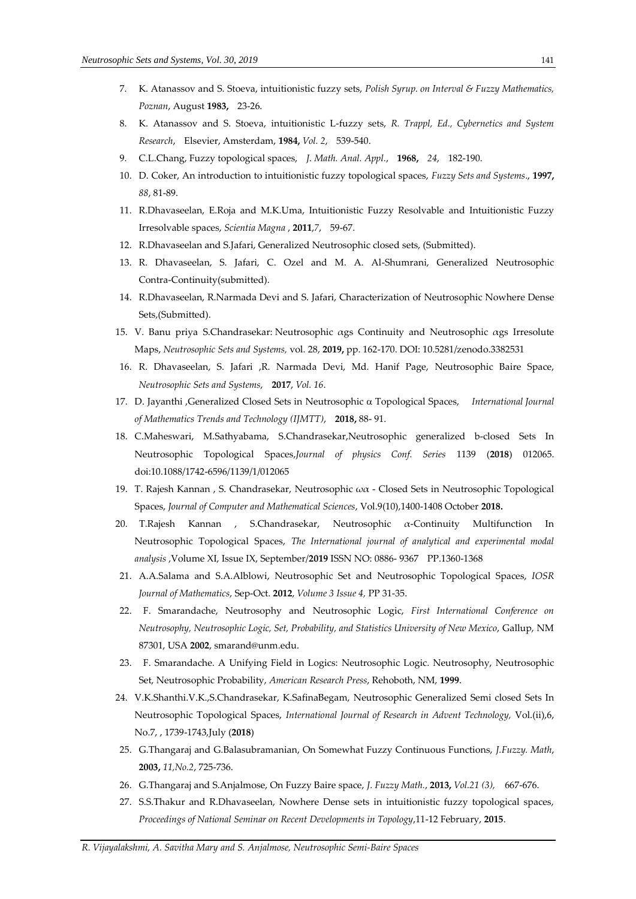- 7. K. Atanassov and S. Stoeva, intuitionistic fuzzy sets, *Polish Syrup. on Interval & Fuzzy Mathematics, Poznan*, August **1983,** 23-26.
- 8. K. Atanassov and S. Stoeva, intuitionistic L-fuzzy sets, *R. Trappl, Ed., Cybernetics and System Research*, Elsevier, Amsterdam, **1984,** *Vol. 2*, 539-540.
- 9. C.L.Chang, Fuzzy topological spaces, *J. Math. Anal. Appl.*, **1968,** *24*, 182-190.
- 10. D. Coker, An introduction to intuitionistic fuzzy topological spaces, *Fuzzy Sets and Systems*., **1997,**  *88*, 81-89.
- 11. R.Dhavaseelan, E.Roja and M.K.Uma, Intuitionistic Fuzzy Resolvable and Intuitionistic Fuzzy Irresolvable spaces, *Scientia Magna* , **2011**,*7*, 59-67.
- 12. R.Dhavaseelan and S.Jafari, Generalized Neutrosophic closed sets, (Submitted).
- 13. R. Dhavaseelan, S. Jafari, C. Ozel and M. A. Al-Shumrani, Generalized Neutrosophic Contra-Continuity(submitted).
- 14. R.Dhavaseelan, R.Narmada Devi and S. Jafari, Characterization of Neutrosophic Nowhere Dense Sets,(Submitted).
- 15. V. Banu priya S.Chandrasekar: Neutrosophic [αgs Continuity and](http://fs.unm.edu/NSS/NeutrosophicContinuity.pdf) Neutrosophic αgs Irresolute [Maps,](http://fs.unm.edu/NSS/NeutrosophicContinuity.pdf) *Neutrosophic Sets and Systems,* vol. 28, **2019,** pp. 162-170. DOI: [10.5281/zenodo.3382531](https://zenodo.org/record/3382531#.XWpDA3uxXIU)
- 16. R. Dhavaseelan, S. Jafari ,R. Narmada Devi, Md. Hanif Page, Neutrosophic Baire Space, *Neutrosophic Sets and Systems*, **2017**, *Vol. 16*.
- 17. D. Jayanthi ,Generalized Closed Sets in Neutrosophic Topological Spaces, *International Journal of Mathematics Trends and Technology (IJMTT)*, **2018,** 88- 91.
- 18. C.Maheswari, M.Sathyabama, S.Chandrasekar,Neutrosophic generalized b-closed Sets In Neutrosophic Topological Spaces,*Journal of physics Conf. Series* 1139 (**2018**) 012065. doi:10.1088/1742-6596/1139/1/012065
- 19. T. Rajesh Kannan , S. Chandrasekar, Neutrosophic ωα Closed Sets in Neutrosophic Topological Spaces, *Journal of Computer and Mathematical Sciences*, Vol.9(10),1400-1408 October **2018.**
- 20. T.Rajesh Kannan , S.Chandrasekar, Neutrosophic α-Continuity Multifunction In Neutrosophic Topological Spaces, *The International journal of analytical and experimental modal analysis* ,Volume XI, Issue IX, September/**2019** ISSN NO: 0886- 9367 PP.1360-1368
- 21. A.A.Salama and S.A.Alblowi, Neutrosophic Set and Neutrosophic Topological Spaces, *IOSR Journal of Mathematics*, Sep-Oct. **2012**, *Volume 3 Issue 4,* PP 31-35.
- 22. F. Smarandache, Neutrosophy and Neutrosophic Logic, *First International Conference on Neutrosophy, Neutrosophic Logic, Set, Probability, and Statistics University of New Mexico*, Gallup, NM 87301, USA **2002**, smarand@unm.edu.
- 23. F. Smarandache. A Unifying Field in Logics: Neutrosophic Logic. Neutrosophy, Neutrosophic Set, Neutrosophic Probability, *American Research Press*, Rehoboth, NM, **1999**.
- 24. V.K.Shanthi.V.K.,S.Chandrasekar, K.SafinaBegam, Neutrosophic Generalized Semi closed Sets In Neutrosophic Topological Spaces, *International Journal of Research in Advent Technology,* Vol.(ii),6, No.7, , 1739-1743,July (**2018**)
- 25. G.Thangaraj and G.Balasubramanian, On Somewhat Fuzzy Continuous Functions, *J.Fuzzy. Math*, **2003,** *11,No.2*, 725-736.
- 26. G.Thangaraj and S.Anjalmose, On Fuzzy Baire space, *J. Fuzzy Math.*, **2013,** *Vol.21 (3),* 667-676.
- 27. S.S.Thakur and R.Dhavaseelan, Nowhere Dense sets in intuitionistic fuzzy topological spaces, *Proceedings of National Seminar on Recent Developments in Topology*,11-12 February, **2015**.